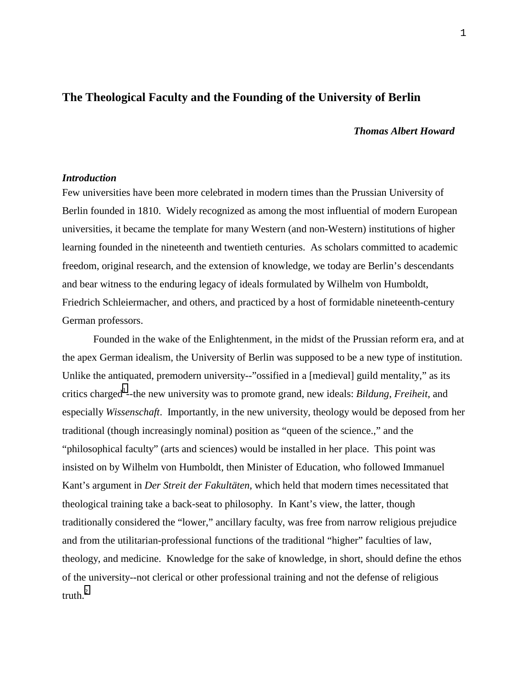## **The Theological Faculty and the Founding of the University of Berlin**

#### *Thomas Albert Howard*

#### *Introduction*

Few universities have been more celebrated in modern times than the Prussian University of Berlin founded in 1810. Widely recognized as among the most influential of modern European universities, it became the template for many Western (and non-Western) institutions of higher learning founded in the nineteenth and twentieth centuries. As scholars committed to academic freedom, original research, and the extension of knowledge, we today are Berlin's descendants and bear witness to the enduring legacy of ideals formulated by Wilhelm von Humboldt, Friedrich Schleiermacher, and others, and practiced by a host of formidable nineteenth-century German professors.

Founded in the wake of the Enlightenment, in the midst of the Prussian reform era, and at the apex German idealism, the University of Berlin was supposed to be a new type of institution. Unlike the antiquated, premodern university--"ossified in a [medieval] guild mentality," as its critics charged<sup>1</sup>--the new university was to promote grand, new ideals: *Bildung*, *Freiheit*, and especially *Wissenschaft*. Importantly, in the new university, theology would be deposed from her traditional (though increasingly nominal) position as "queen of the science.," and the "philosophical faculty" (arts and sciences) would be installed in her place. This point was insisted on by Wilhelm von Humboldt, then Minister of Education, who followed Immanuel Kant's argument in *Der Streit der Fakultäten*, which held that modern times necessitated that theological training take a back-seat to philosophy. In Kant's view, the latter, though traditionally considered the "lower," ancillary faculty, was free from narrow religious prejudice and from the utilitarian-professional functions of the traditional "higher" faculties of law, theology, and medicine. Knowledge for the sake of knowledge, in short, should define the ethos of the university--not clerical or other professional training and not the defense of religious truth. $^{2}$  $^{2}$  $^{2}$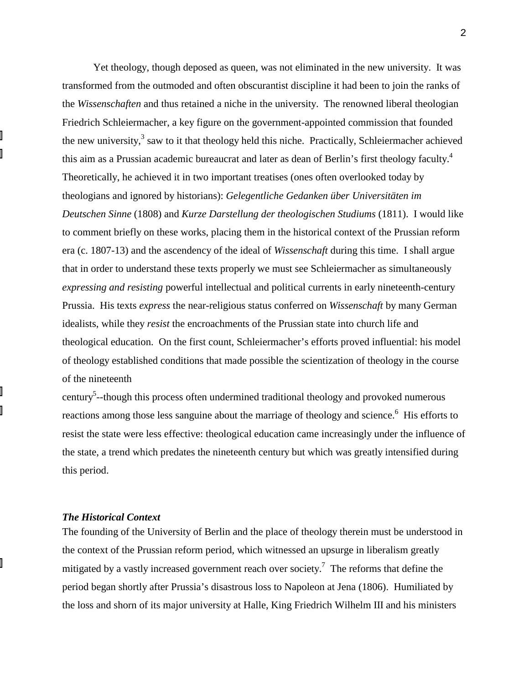Yet theology, though deposed as queen, was not eliminated in the new university. It was transformed from the outmoded and often obscurantist discipline it had been to join the ranks of the *Wissenschaften* and thus retained a niche in the university. The renowned liberal theologian Friedrich Schleiermacher, a key figure on the government-appointed commission that founded the new university, $3$  saw to it that theology held this niche. Practically, Schleiermacher achieved this aim as a Prussian academic bureaucrat and later as dean of Berlin's first theology faculty.<sup>4</sup> Theoretically, he achieved it in two important treatises (ones often overlooked today by theologians and ignored by historians): *Gelegentliche Gedanken über Universitäten im Deutschen Sinne* (1808) and *Kurze Darstellung der theologischen Studiums* (1811). I would like to comment briefly on these works, placing them in the historical context of the Prussian reform era (c. 1807-13) and the ascendency of the ideal of *Wissenschaft* during this time. I shall argue that in order to understand these texts properly we must see Schleiermacher as simultaneously *expressing and resisting* powerful intellectual and political currents in early nineteenth-century Prussia. His texts *express* the near-religious status conferred on *Wissenschaft* by many German idealists, while they *resist* the encroachments of the Prussian state into church life and theological education. On the first count, Schleiermacher's efforts proved influential: his model of theology established conditions that made possible the scientization of theology in the course of the nineteenth

century<sup>5</sup>--though this process often undermined traditional theology and provoked numerous reactions among those less sanguine about the marriage of theology and science.<sup>6</sup> His efforts to resist the state were less effective: theological education came increasingly under the influence of the state, a trend which predates the nineteenth century but which was greatly intensified during this period.

## *The Historical Context*

The founding of the University of Berlin and the place of theology therein must be understood in the context of the Prussian reform period, which witnessed an upsurge in liberalism greatly mitigated by a vastly increased government reach over society.<sup>7</sup> The reforms that define the period began shortly after Prussia's disastrous loss to Napoleon at Jena (1806). Humiliated by the loss and shorn of its major university at Halle, King Friedrich Wilhelm III and his ministers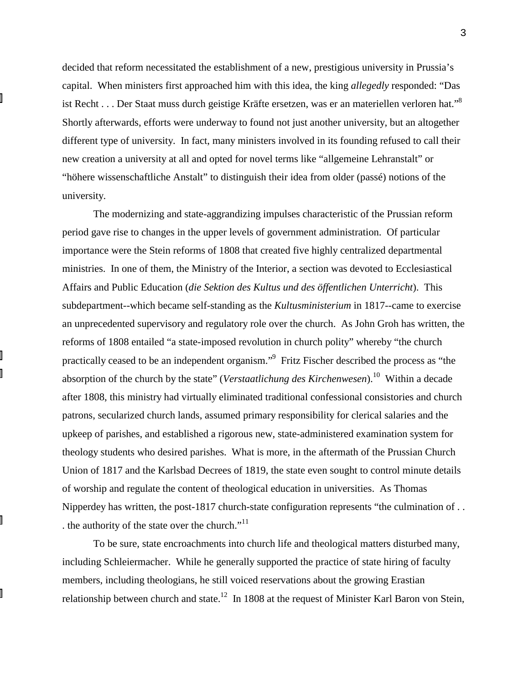decided that reform necessitated the establishment of a new, prestigious university in Prussia's capital. When ministers first approached him with this idea, the king *allegedly* responded: "Das ist Recht . . . Der Staat muss durch geistige Kräfte ersetzen, was er an materiellen verloren hat."8 Shortly afterwards, efforts were underway to found not just another university, but an altogether different type of university. In fact, many ministers involved in its founding refused to call their new creation a university at all and opted for novel terms like "allgemeine Lehranstalt" or "höhere wissenschaftliche Anstalt" to distinguish their idea from older (passé) notions of the university.

The modernizing and state-aggrandizing impulses characteristic of the Prussian reform period gave rise to changes in the upper levels of government administration. Of particular importance were the Stein reforms of 1808 that created five highly centralized departmental ministries. In one of them, the Ministry of the Interior, a section was devoted to Ecclesiastical Affairs and Public Education (*die Sektion des Kultus und des öffentlichen Unterricht*). This subdepartment--which became self-standing as the *Kultusministerium* in 1817--came to exercise an unprecedented supervisory and regulatory role over the church. As John Groh has written, the reforms of 1808 entailed "a state-imposed revolution in church polity" whereby "the church practically ceased to be an independent organism."<sup>9</sup> Fritz Fischer described the process as "the absorption of the church by the state" (*Verstaatlichung des Kirchenwesen*).10 Within a decade after 1808, this ministry had virtually eliminated traditional confessional consistories and church patrons, secularized church lands, assumed primary responsibility for clerical salaries and the upkeep of parishes, and established a rigorous new, state-administered examination system for theology students who desired parishes. What is more, in the aftermath of the Prussian Church Union of 1817 and the Karlsbad Decrees of 1819, the state even sought to control minute details of worship and regulate the content of theological education in universities. As Thomas Nipperdey has written, the post-1817 church-state configuration represents "the culmination of . . . the authority of the state over the church."<sup>11</sup>

To be sure, state encroachments into church life and theological matters disturbed many, including Schleiermacher. While he generally supported the practice of state hiring of faculty members, including theologians, he still voiced reservations about the growing Erastian relationship between church and state.<sup>12</sup> In 1808 at the request of Minister Karl Baron von Stein,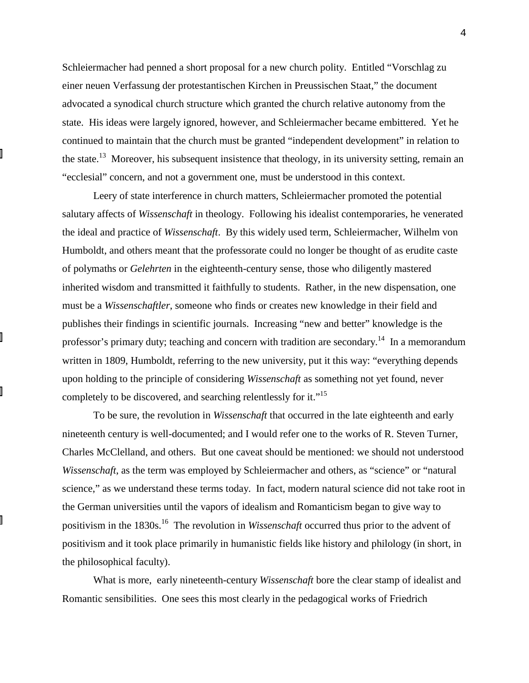Schleiermacher had penned a short proposal for a new church polity. Entitled "Vorschlag zu einer neuen Verfassung der protestantischen Kirchen in Preussischen Staat," the document advocated a synodical church structure which granted the church relative autonomy from the state. His ideas were largely ignored, however, and Schleiermacher became embittered. Yet he continued to maintain that the church must be granted "independent development" in relation to the state.<sup>13</sup> Moreover, his subsequent insistence that theology, in its university setting, remain an "ecclesial" concern, and not a government one, must be understood in this context.

Leery of state interference in church matters, Schleiermacher promoted the potential salutary affects of *Wissenschaft* in theology. Following his idealist contemporaries, he venerated the ideal and practice of *Wissenschaft*. By this widely used term, Schleiermacher, Wilhelm von Humboldt, and others meant that the professorate could no longer be thought of as erudite caste of polymaths or *Gelehrten* in the eighteenth-century sense, those who diligently mastered inherited wisdom and transmitted it faithfully to students. Rather, in the new dispensation, one must be a *Wissenschaftler*, someone who finds or creates new knowledge in their field and publishes their findings in scientific journals. Increasing "new and better" knowledge is the professor's primary duty; teaching and concern with tradition are secondary.<sup>14</sup> In a memorandum written in 1809, Humboldt, referring to the new university, put it this way: "everything depends upon holding to the principle of considering *Wissenschaft* as something not yet found, never completely to be discovered, and searching relentlessly for it."15

To be sure, the revolution in *Wissenschaft* that occurred in the late eighteenth and early nineteenth century is well-documented; and I would refer one to the works of R. Steven Turner, Charles McClelland, and others. But one caveat should be mentioned: we should not understood *Wissenschaft*, as the term was employed by Schleiermacher and others, as "science" or "natural science," as we understand these terms today. In fact, modern natural science did not take root in the German universities until the vapors of idealism and Romanticism began to give way to positivism in the 1830s.16 The revolution in *Wissenschaft* occurred thus prior to the advent of positivism and it took place primarily in humanistic fields like history and philology (in short, in the philosophical faculty).

What is more, early nineteenth-century *Wissenschaft* bore the clear stamp of idealist and Romantic sensibilities. One sees this most clearly in the pedagogical works of Friedrich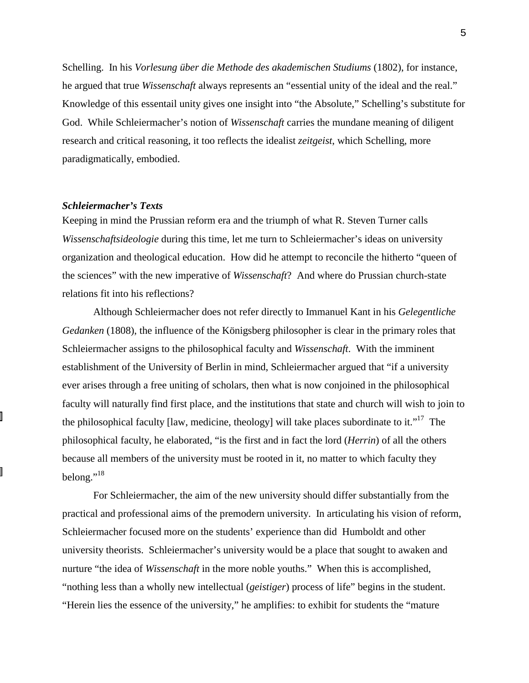Schelling. In his *Vorlesung über die Methode des akademischen Studiums* (1802), for instance, he argued that true *Wissenschaft* always represents an "essential unity of the ideal and the real." Knowledge of this essentail unity gives one insight into "the Absolute," Schelling's substitute for God. While Schleiermacher's notion of *Wissenschaft* carries the mundane meaning of diligent research and critical reasoning, it too reflects the idealist *zeitgeist*, which Schelling, more paradigmatically, embodied.

#### *Schleiermacher's Texts*

Keeping in mind the Prussian reform era and the triumph of what R. Steven Turner calls *Wissenschaftsideologie* during this time, let me turn to Schleiermacher's ideas on university organization and theological education. How did he attempt to reconcile the hitherto "queen of the sciences" with the new imperative of *Wissenschaft*? And where do Prussian church-state relations fit into his reflections?

Although Schleiermacher does not refer directly to Immanuel Kant in his *Gelegentliche Gedanken* (1808), the influence of the Königsberg philosopher is clear in the primary roles that Schleiermacher assigns to the philosophical faculty and *Wissenschaft*. With the imminent establishment of the University of Berlin in mind, Schleiermacher argued that "if a university ever arises through a free uniting of scholars, then what is now conjoined in the philosophical faculty will naturally find first place, and the institutions that state and church will wish to join to the philosophical faculty [law, medicine, theology] will take places subordinate to it."<sup>17</sup> The philosophical faculty, he elaborated, "is the first and in fact the lord (*Herrin*) of all the others because all members of the university must be rooted in it, no matter to which faculty they belong."<sup>18</sup>

For Schleiermacher, the aim of the new university should differ substantially from the practical and professional aims of the premodern university. In articulating his vision of reform, Schleiermacher focused more on the students' experience than did Humboldt and other university theorists. Schleiermacher's university would be a place that sought to awaken and nurture "the idea of *Wissenschaft* in the more noble youths." When this is accomplished, "nothing less than a wholly new intellectual (*geistiger*) process of life" begins in the student. "Herein lies the essence of the university," he amplifies: to exhibit for students the "mature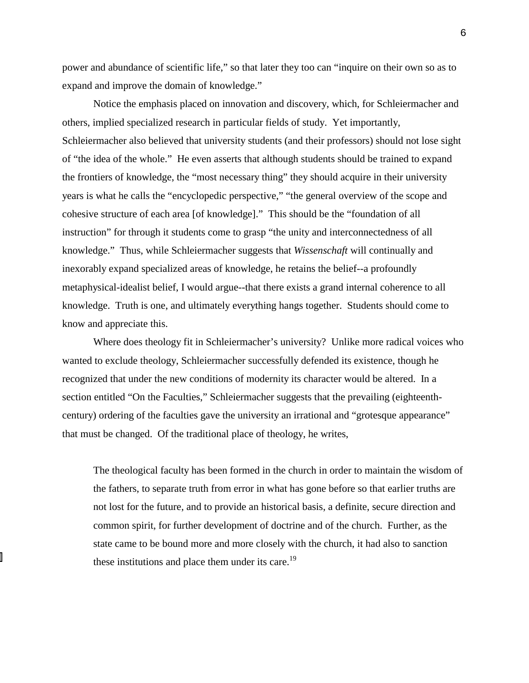power and abundance of scientific life," so that later they too can "inquire on their own so as to expand and improve the domain of knowledge."

Notice the emphasis placed on innovation and discovery, which, for Schleiermacher and others, implied specialized research in particular fields of study. Yet importantly, Schleiermacher also believed that university students (and their professors) should not lose sight of "the idea of the whole." He even asserts that although students should be trained to expand the frontiers of knowledge, the "most necessary thing" they should acquire in their university years is what he calls the "encyclopedic perspective," "the general overview of the scope and cohesive structure of each area [of knowledge]." This should be the "foundation of all instruction" for through it students come to grasp "the unity and interconnectedness of all knowledge." Thus, while Schleiermacher suggests that *Wissenschaft* will continually and inexorably expand specialized areas of knowledge, he retains the belief--a profoundly metaphysical-idealist belief, I would argue--that there exists a grand internal coherence to all knowledge. Truth is one, and ultimately everything hangs together. Students should come to know and appreciate this.

Where does theology fit in Schleiermacher's university? Unlike more radical voices who wanted to exclude theology, Schleiermacher successfully defended its existence, though he recognized that under the new conditions of modernity its character would be altered. In a section entitled "On the Faculties," Schleiermacher suggests that the prevailing (eighteenthcentury) ordering of the faculties gave the university an irrational and "grotesque appearance" that must be changed. Of the traditional place of theology, he writes,

The theological faculty has been formed in the church in order to maintain the wisdom of the fathers, to separate truth from error in what has gone before so that earlier truths are not lost for the future, and to provide an historical basis, a definite, secure direction and common spirit, for further development of doctrine and of the church. Further, as the state came to be bound more and more closely with the church, it had also to sanction these institutions and place them under its care.<sup>19</sup>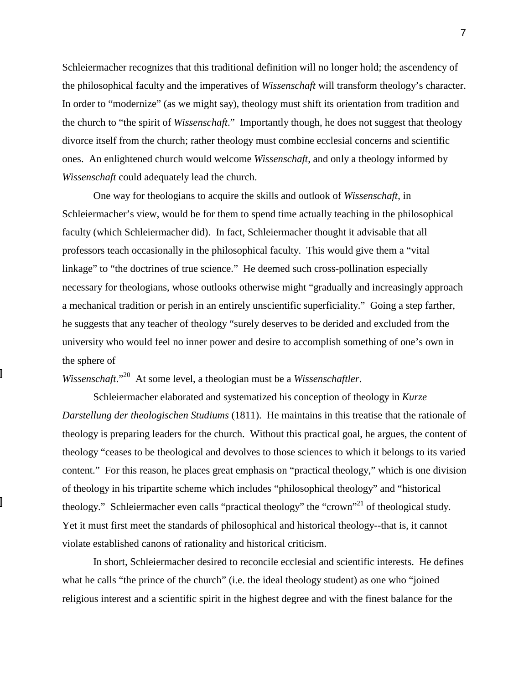Schleiermacher recognizes that this traditional definition will no longer hold; the ascendency of the philosophical faculty and the imperatives of *Wissenschaft* will transform theology's character. In order to "modernize" (as we might say), theology must shift its orientation from tradition and the church to "the spirit of *Wissenschaft*." Importantly though, he does not suggest that theology divorce itself from the church; rather theology must combine ecclesial concerns and scientific ones. An enlightened church would welcome *Wissenschaft*, and only a theology informed by *Wissenschaft* could adequately lead the church.

One way for theologians to acquire the skills and outlook of *Wissenschaft*, in Schleiermacher's view, would be for them to spend time actually teaching in the philosophical faculty (which Schleiermacher did). In fact, Schleiermacher thought it advisable that all professors teach occasionally in the philosophical faculty. This would give them a "vital linkage" to "the doctrines of true science." He deemed such cross-pollination especially necessary for theologians, whose outlooks otherwise might "gradually and increasingly approach a mechanical tradition or perish in an entirely unscientific superficiality." Going a step farther, he suggests that any teacher of theology "surely deserves to be derided and excluded from the university who would feel no inner power and desire to accomplish something of one's own in the sphere of

# *Wissenschaft*."20 At some level, a theologian must be a *Wissenschaftler*.

Schleiermacher elaborated and systematized his conception of theology in *Kurze Darstellung der theologischen Studiums* (1811). He maintains in this treatise that the rationale of theology is preparing leaders for the church. Without this practical goal, he argues, the content of theology "ceases to be theological and devolves to those sciences to which it belongs to its varied content." For this reason, he places great emphasis on "practical theology," which is one division of theology in his tripartite scheme which includes "philosophical theology" and "historical theology." Schleiermacher even calls "practical theology" the "crown"<sup>21</sup> of theological study. Yet it must first meet the standards of philosophical and historical theology--that is, it cannot violate established canons of rationality and historical criticism.

In short, Schleiermacher desired to reconcile ecclesial and scientific interests. He defines what he calls "the prince of the church" (i.e. the ideal theology student) as one who "joined religious interest and a scientific spirit in the highest degree and with the finest balance for the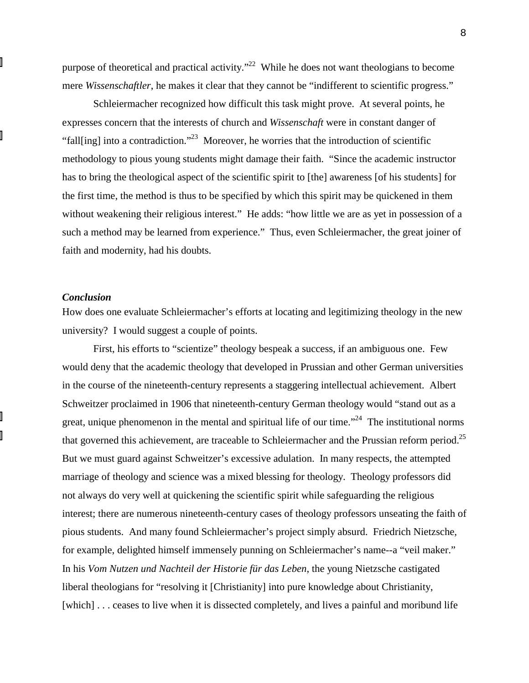purpose of theoretical and practical activity. $^{22}$  While he does not want theologians to become mere *Wissenschaftler*, he makes it clear that they cannot be "indifferent to scientific progress."

Schleiermacher recognized how difficult this task might prove. At several points, he expresses concern that the interests of church and *Wissenschaft* were in constant danger of "fall[ing] into a contradiction."<sup>23</sup> Moreover, he worries that the introduction of scientific methodology to pious young students might damage their faith. "Since the academic instructor has to bring the theological aspect of the scientific spirit to [the] awareness [of his students] for the first time, the method is thus to be specified by which this spirit may be quickened in them without weakening their religious interest." He adds: "how little we are as yet in possession of a such a method may be learned from experience." Thus, even Schleiermacher, the great joiner of faith and modernity, had his doubts.

## *Conclusion*

How does one evaluate Schleiermacher's efforts at locating and legitimizing theology in the new university? I would suggest a couple of points.

First, his efforts to "scientize" theology bespeak a success, if an ambiguous one. Few would deny that the academic theology that developed in Prussian and other German universities in the course of the nineteenth-century represents a staggering intellectual achievement. Albert Schweitzer proclaimed in 1906 that nineteenth-century German theology would "stand out as a great, unique phenomenon in the mental and spiritual life of our time."<sup>24</sup> The institutional norms that governed this achievement, are traceable to Schleiermacher and the Prussian reform period.<sup>25</sup> But we must guard against Schweitzer's excessive adulation. In many respects, the attempted marriage of theology and science was a mixed blessing for theology. Theology professors did not always do very well at quickening the scientific spirit while safeguarding the religious interest; there are numerous nineteenth-century cases of theology professors unseating the faith of pious students. And many found Schleiermacher's project simply absurd. Friedrich Nietzsche, for example, delighted himself immensely punning on Schleiermacher's name--a "veil maker." In his *Vom Nutzen und Nachteil der Historie für das Leben*, the young Nietzsche castigated liberal theologians for "resolving it [Christianity] into pure knowledge about Christianity, [which] . . . ceases to live when it is dissected completely, and lives a painful and moribund life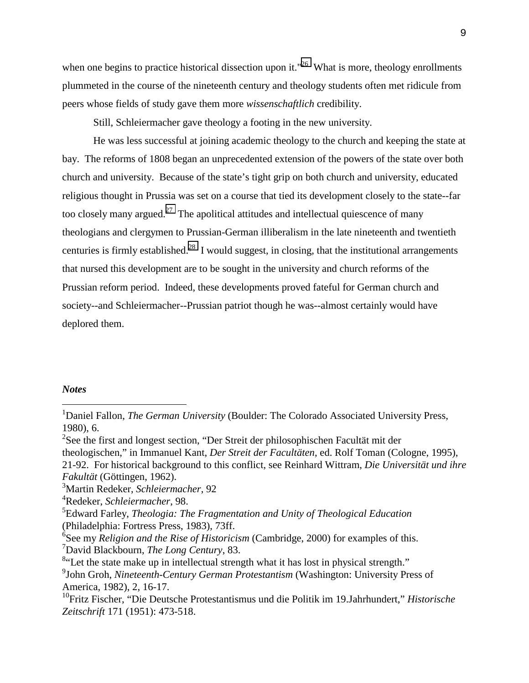when one begins to practice historical dissection upon it."<sup>26</sup> What is more, theology enrollments plummeted in the course of the nineteenth century and theology students often met ridicule from peers whose fields of study gave them more *wissenschaftlich* credibility.

Still, Schleiermacher gave theology a footing in the new university.

He was less successful at joining academic theology to the church and keeping the state at bay. The reforms of 1808 began an unprecedented extension of the powers of the state over both church and university. Because of the state's tight grip on both church and university, educated religious thought in Prussia was set on a course that tied its development closely to the state--far too closely many argued.<sup>27</sup> The apolitical attitudes and intellectual quiescence of many theologians and clergymen to Prussian-German illiberalism in the late nineteenth and twentieth centuries is firmly established.<sup>28</sup> I would suggest, in closing, that the institutional arrangements that nursed this development are to be sought in the university and church reforms of the Prussian reform period. Indeed, these developments proved fateful for German church and society--and Schleiermacher--Prussian patriot though he was--almost certainly would have deplored them.

## *Notes*

 $\overline{a}$ 

<sup>&</sup>lt;sup>1</sup>Daniel Fallon, *The German University* (Boulder: The Colorado Associated University Press, 1980), 6.

<sup>&</sup>lt;sup>2</sup>See the first and longest section, "Der Streit der philosophischen Facultät mit der theologischen," in Immanuel Kant, *Der Streit der Facultäten*, ed. Rolf Toman (Cologne, 1995), 21-92. For historical background to this conflict, see Reinhard Wittram, *Die Universität und ihre Fakultät* (Göttingen, 1962).

<sup>3</sup> Martin Redeker, *Schleiermacher*, 92

<sup>4</sup> Redeker, *Schleiermacher*, 98.

<sup>5</sup> Edward Farley, *Theologia: The Fragmentation and Unity of Theological Education* (Philadelphia: Fortress Press, 1983), 73ff.

<sup>6</sup> See my *Religion and the Rise of Historicism* (Cambridge, 2000) for examples of this. 7 David Blackbourn, *The Long Century*, 83.

<sup>&</sup>lt;sup>8</sup>"Let the state make up in intellectual strength what it has lost in physical strength."

<sup>9</sup> John Groh, *Nineteenth-Century German Protestantism* (Washington: University Press of America, 1982), 2, 16-17.

<sup>10</sup>Fritz Fischer, "Die Deutsche Protestantismus und die Politik im 19.Jahrhundert," *Historische Zeitschrift* 171 (1951): 473-518.